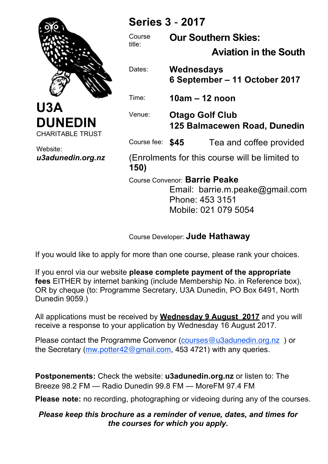

**U3A DUNEDIN** CHARITABLE TRUST

Website: *u3adunedin.org.nz*

# **Series 3** - **2017**

Course title:

**Our Southern Skies:**

 **Aviation in the South**

Dates: **Wednesdays 6 September – 11 October 2017**

Time: **10am – 12 noon**

Venue: **Otago Golf Club 125 Balmacewen Road, Dunedin**

Course fee: **\$45** Tea and coffee provided

(Enrolments for this course will be limited to **150)**

Course Convenor: **Barrie Peake**

Email: barrie.m.peake@gmail.com Phone: 453 3151 Mobile: 021 079 5054

Course Developer: **Jude Hathaway**

If you would like to apply for more than one course, please rank your choices.

If you enrol via our website **please complete payment of the appropriate fees** EITHER by internet banking (include Membership No. in Reference box), OR by cheque (to: Programme Secretary, U3A Dunedin, PO Box 6491, North Dunedin 9059.)

All applications must be received by **Wednesday 9 August 2017** and you will receive a response to your application by Wednesday 16 August 2017.

Please contact the Programme Convenor (courses@u3adunedin.org.nz ) or the Secretary (mw.potter42@gmail.com, 453 4721) with any queries.

**Postponements:** Check the website: **u3adunedin.org.nz** or listen to: The Breeze 98.2 FM — Radio Dunedin 99.8 FM — MoreFM 97.4 FM

**Please note:** no recording, photographing or videoing during any of the courses.

### *Please keep this brochure as a reminder of venue, dates, and times for the courses for which you apply.*